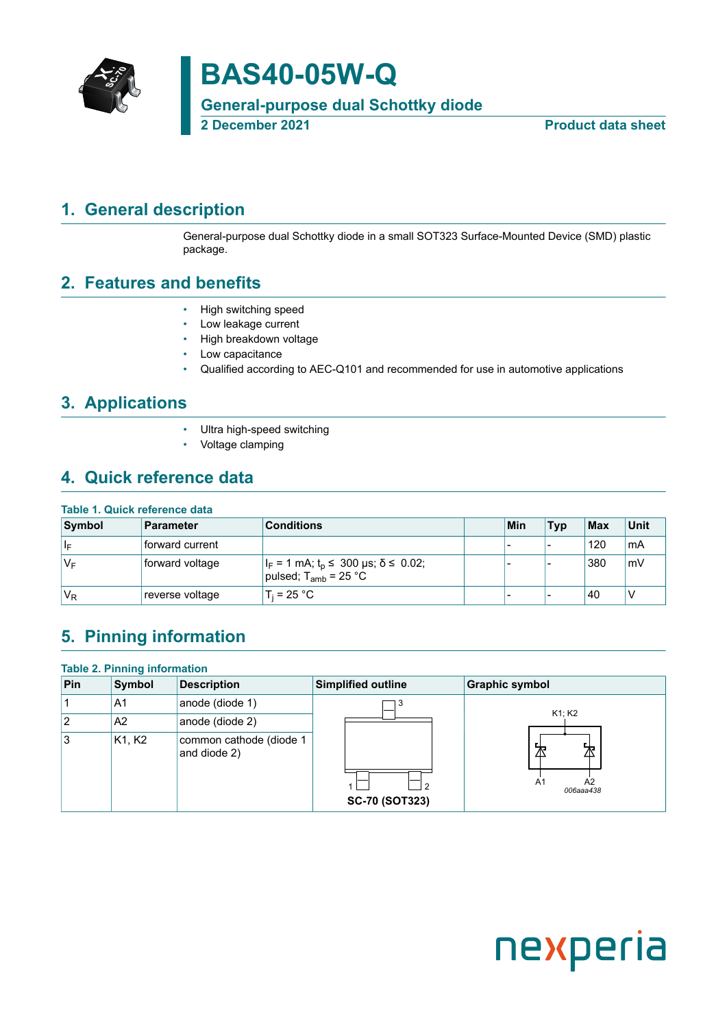

**BAS40-05W-Q**

**General-purpose dual Schottky diode**

**2 December 2021 Product data sheet**

## <span id="page-0-0"></span>**1. General description**

General-purpose dual Schottky diode in a small SOT323 Surface-Mounted Device (SMD) plastic package.

### <span id="page-0-1"></span>**2. Features and benefits**

- High switching speed
- Low leakage current
- High breakdown voltage
- Low capacitance
- Qualified according to AEC-Q101 and recommended for use in automotive applications

### <span id="page-0-2"></span>**3. Applications**

- Ultra high-speed switching
- Voltage clamping

### <span id="page-0-3"></span>**4. Quick reference data**

### **Table 1. Quick reference data**

| Symbol | <b>Parameter</b> | <b>Conditions</b>                                                                 | Min | <b>Typ</b>               | $ $ Max | <b>Unit</b> |
|--------|------------------|-----------------------------------------------------------------------------------|-----|--------------------------|---------|-------------|
| ∣∣⊧    | forward current  |                                                                                   | -   | -                        | 120     | ' mA        |
| 'V⊧    | forward voltage  | $ I_F = 1$ mA; $t_p \le 300$ µs; $\delta \le 0.02$ ;<br>pulsed; $T_{amb}$ = 25 °C |     |                          | 380     | mV          |
| $V_R$  | reverse voltage  | $T_i = 25 °C$                                                                     | -   | $\overline{\phantom{a}}$ | 40      | ٧           |

## <span id="page-0-4"></span>**5. Pinning information**

| <b>Table 2. Pinning information</b> |                |                                         |                       |                       |  |  |  |  |
|-------------------------------------|----------------|-----------------------------------------|-----------------------|-----------------------|--|--|--|--|
| Pin                                 | <b>Symbol</b>  | <b>Description</b>                      | Simplified outline    | <b>Graphic symbol</b> |  |  |  |  |
|                                     | A1             | anode (diode 1)                         |                       | K1; K2                |  |  |  |  |
| 2                                   | A <sub>2</sub> | anode (diode 2)                         |                       |                       |  |  |  |  |
| Ι3                                  | K1, K2         | common cathode (diode 1<br>and diode 2) |                       | 为                     |  |  |  |  |
|                                     |                |                                         | <b>SC-70 (SOT323)</b> | A2<br>A1<br>006aaa438 |  |  |  |  |

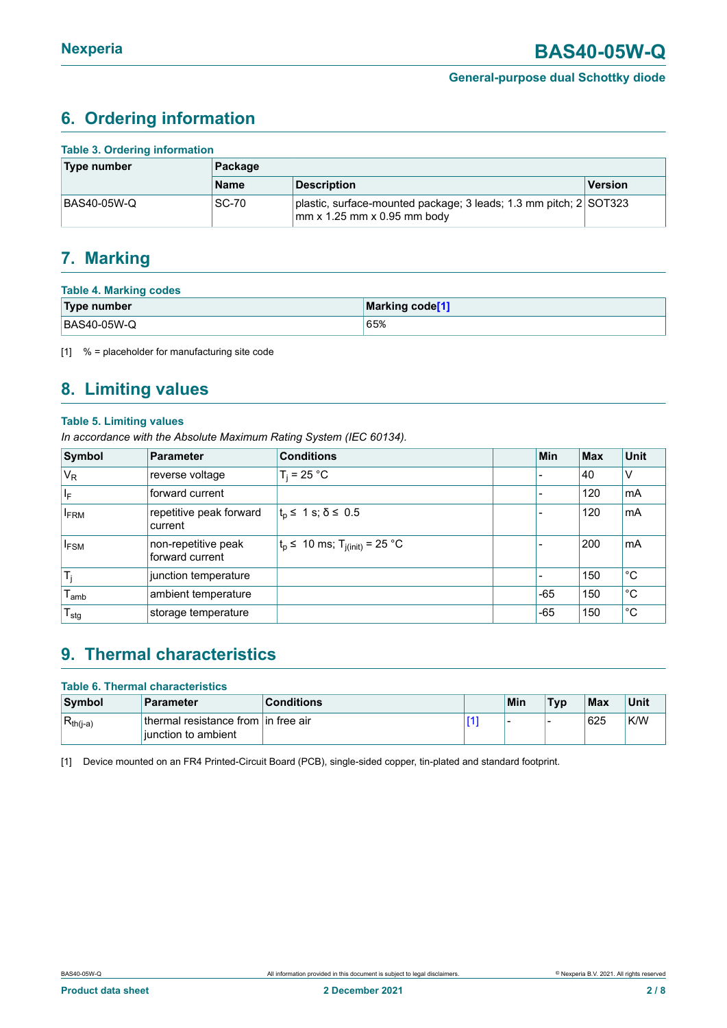## <span id="page-1-1"></span><span id="page-1-0"></span>**6. Ordering information**

| <b>Table 3. Ordering information</b> |              |                                                                                                  |                |  |  |  |
|--------------------------------------|--------------|--------------------------------------------------------------------------------------------------|----------------|--|--|--|
| Type number                          | Package      |                                                                                                  |                |  |  |  |
|                                      | <b>Name</b>  | <b>Description</b>                                                                               | <b>Version</b> |  |  |  |
| BAS40-05W-Q                          | <b>SC-70</b> | plastic, surface-mounted package; 3 leads; 1.3 mm pitch; 2 SOT323<br>mm x 1.25 mm x 0.95 mm body |                |  |  |  |

### <span id="page-1-2"></span>**7. Marking**

| <b>Table 4. Marking codes</b> |                 |  |  |  |  |
|-------------------------------|-----------------|--|--|--|--|
| Type number                   | Marking code[1] |  |  |  |  |
| BAS40-05W-Q                   | 65%             |  |  |  |  |

[1] % = placeholder for manufacturing site code

# <span id="page-1-3"></span>**8. Limiting values**

#### **Table 5. Limiting values**

*In accordance with the Absolute Maximum Rating System (IEC 60134).*

| Symbol                  | <b>Parameter</b>                       | <b>Conditions</b>                           | <b>Min</b> | <b>Max</b> | <b>Unit</b> |
|-------------------------|----------------------------------------|---------------------------------------------|------------|------------|-------------|
| $V_R$                   | reverse voltage                        | $T_i = 25 °C$                               |            | 40         | ١V          |
| $\mathsf{I}_\mathsf{F}$ | forward current                        |                                             |            | 120        | mA          |
| <b>FRM</b>              | repetitive peak forward<br>current     | $ t_{p} \leq 1$ s; $\delta \leq 0.5$        |            | 120        | mA          |
| <b>IFSM</b>             | non-repetitive peak<br>forward current | $t_p$ ≤ 10 ms; T <sub>j(init)</sub> = 25 °C |            | 200        | mA          |
| $T_i$                   | junction temperature                   |                                             |            | 150        | °C          |
| $I_{amb}$               | ambient temperature                    |                                             | $-65$      | 150        | °C          |
| $T_{\text{stg}}$        | storage temperature                    |                                             | $-65$      | 150        | $^{\circ}C$ |

## <span id="page-1-4"></span>**9. Thermal characteristics**

| <b>Table 6. Thermal characteristics</b> |                                                               |                   |  |     |            |            |      |
|-----------------------------------------|---------------------------------------------------------------|-------------------|--|-----|------------|------------|------|
| Symbol                                  | Parameter                                                     | <b>Conditions</b> |  | Min | <b>Typ</b> | <b>Max</b> | Unit |
| $R_{th(j-a)}$                           | ⊥thermal resistance from Lin free air<br>liunction to ambient |                   |  |     | -          | 625        | K/W  |

[1] Device mounted on an FR4 Printed-Circuit Board (PCB), single-sided copper, tin-plated and standard footprint.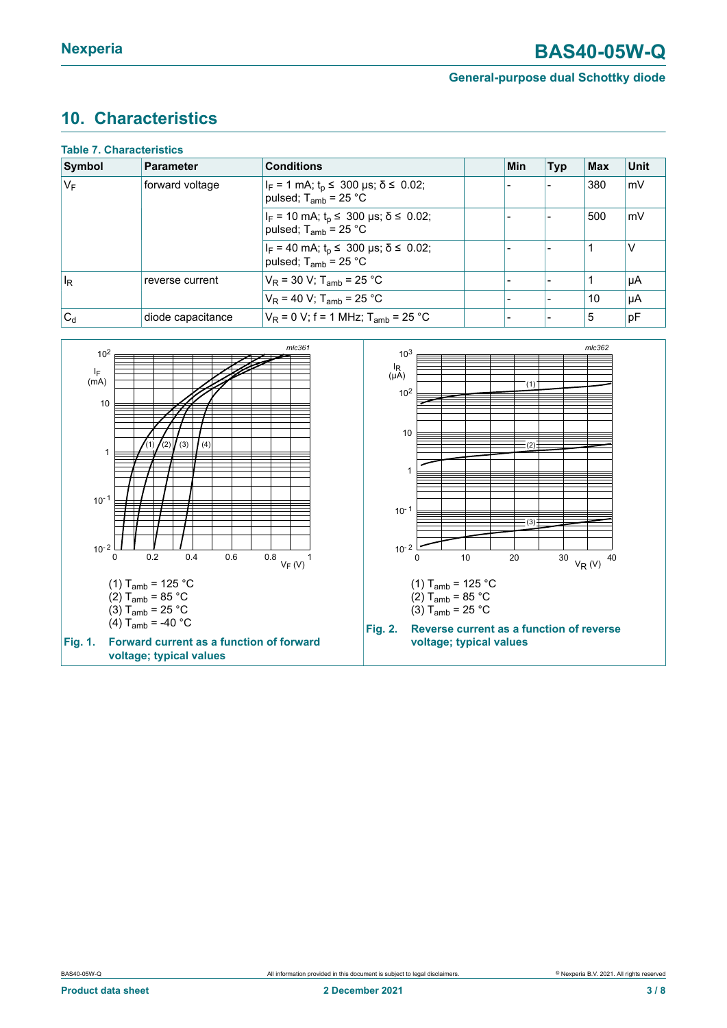## <span id="page-2-0"></span>**10. Characteristics**

| <b>Table 7. Characteristics</b> |                   |                                                                                       |  |     |            |     |             |
|---------------------------------|-------------------|---------------------------------------------------------------------------------------|--|-----|------------|-----|-------------|
| Symbol                          | Parameter         | <b>Conditions</b>                                                                     |  | Min | <b>Typ</b> | Max | <b>Unit</b> |
| $V_F$                           | forward voltage   | $ I_F = 1$ mA; $t_p \le 300$ µs; $\delta \le 0.02$ ;<br>pulsed; $T_{amb}$ = 25 °C     |  |     |            | 380 | mV          |
|                                 |                   | $I_F$ = 10 mA; t <sub>p</sub> ≤ 300 µs; $\delta$ ≤ 0.02;<br>pulsed; $T_{amb}$ = 25 °C |  |     |            | 500 | mV          |
|                                 |                   | $I_F = 40$ mA; $t_p \le 300$ µs; $\delta \le 0.02$ ;<br>pulsed; $T_{amb}$ = 25 °C     |  |     |            |     | ν           |
| $\mathsf{I}_\mathsf{R}$         | reverse current   | $V_R$ = 30 V; T <sub>amb</sub> = 25 °C                                                |  |     |            |     | µA          |
|                                 |                   | $V_R$ = 40 V; T <sub>amb</sub> = 25 °C                                                |  |     |            | 10  | µA          |
| $ C_d$                          | diode capacitance | $V_R$ = 0 V; f = 1 MHz; T <sub>amb</sub> = 25 °C                                      |  |     |            | 5   | pF          |

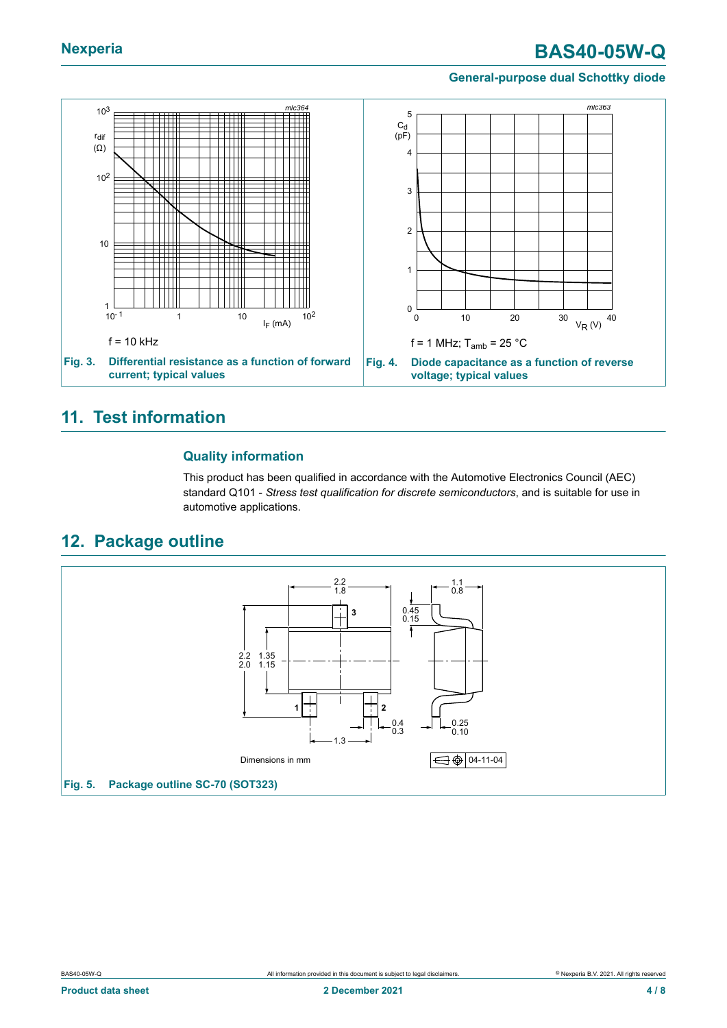# **Nexperia BAS40-05W-Q**

#### **General-purpose dual Schottky diode**



### <span id="page-3-0"></span>**11. Test information**

### **Quality information**

This product has been qualified in accordance with the Automotive Electronics Council (AEC) standard Q101 - *Stress test qualification for discrete semiconductors*, and is suitable for use in automotive applications.

### <span id="page-3-1"></span>**12. Package outline**

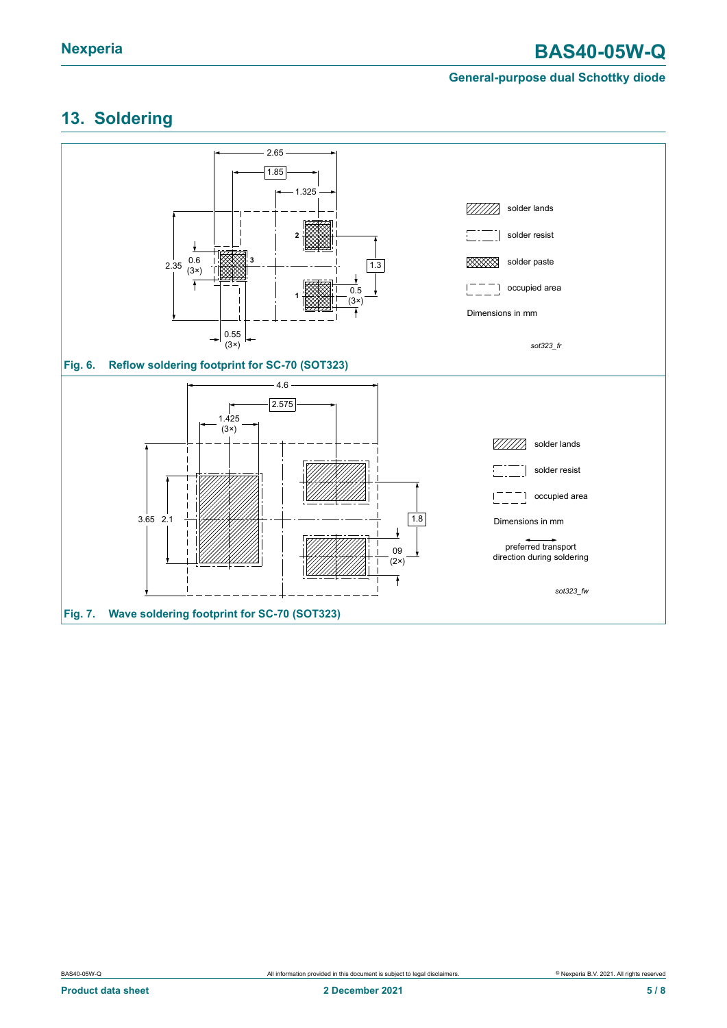# <span id="page-4-0"></span>**13. Soldering**

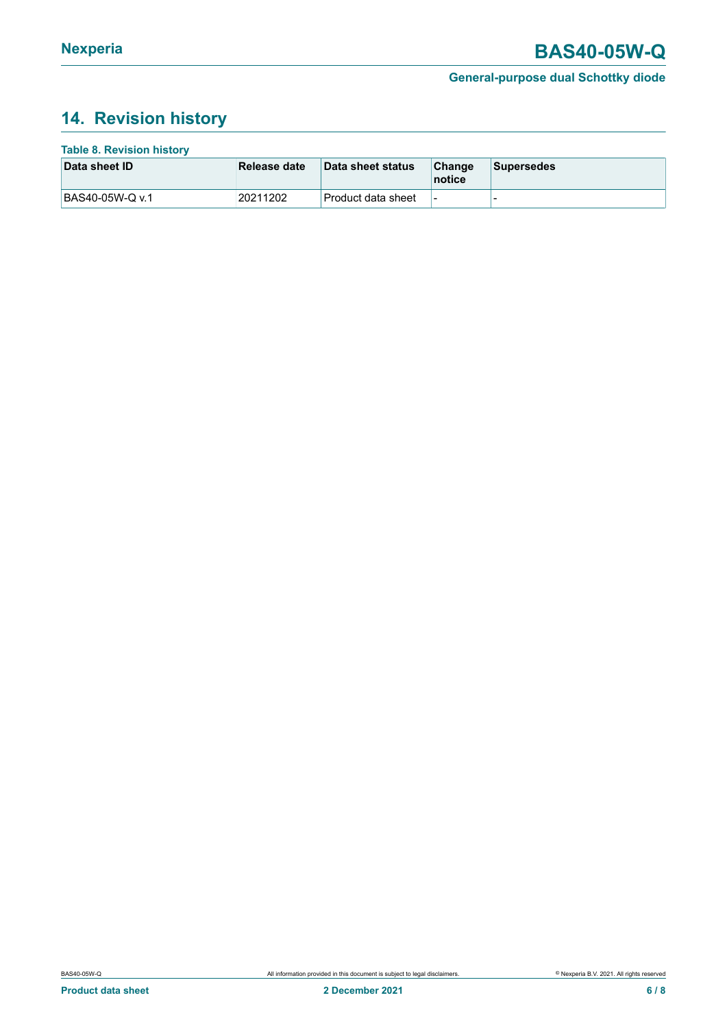# <span id="page-5-0"></span>**14. Revision history**

| <b>Table 8. Revision history</b> |              |                     |                          |                   |
|----------------------------------|--------------|---------------------|--------------------------|-------------------|
| Data sheet ID                    | Release date | Data sheet status   | Change<br>notice         | <b>Supersedes</b> |
| BAS40-05W-Q v.1                  | 20211202     | ∣Product data sheet | $\overline{\phantom{a}}$ | -                 |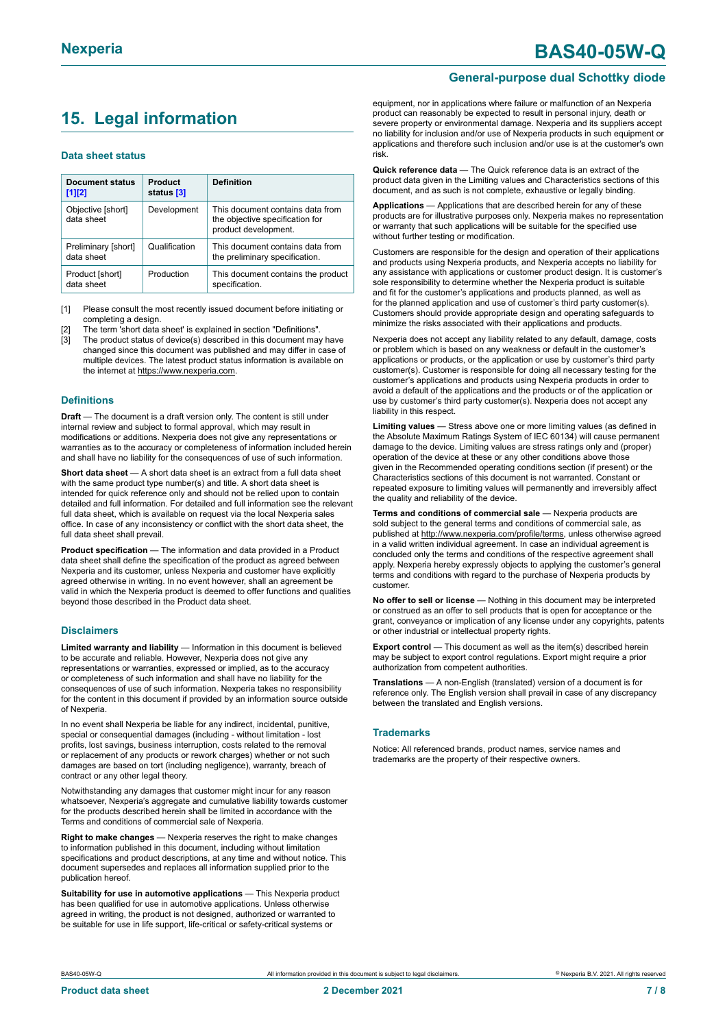# <span id="page-6-0"></span>**15. Legal information**

#### **Data sheet status**

| Document status<br>$[1]$ [2]      | Product<br>status [3] | <b>Definition</b>                                                                           |
|-----------------------------------|-----------------------|---------------------------------------------------------------------------------------------|
| Objective [short]<br>data sheet   | Development           | This document contains data from<br>the objective specification for<br>product development. |
| Preliminary [short]<br>data sheet | Qualification         | This document contains data from<br>the preliminary specification.                          |
| Product [short]<br>data sheet     | Production            | This document contains the product<br>specification.                                        |

[1] Please consult the most recently issued document before initiating or completing a design.

The term 'short data sheet' is explained in section "Definitions"

[3] The product status of device(s) described in this document may have changed since this document was published and may differ in case of multiple devices. The latest product status information is available on the internet at [https://www.nexperia.com.](https://www.nexperia.com)

#### **Definitions**

**Draft** — The document is a draft version only. The content is still under internal review and subject to formal approval, which may result in modifications or additions. Nexperia does not give any representations or warranties as to the accuracy or completeness of information included herein and shall have no liability for the consequences of use of such information.

**Short data sheet** — A short data sheet is an extract from a full data sheet with the same product type number(s) and title. A short data sheet is intended for quick reference only and should not be relied upon to contain detailed and full information. For detailed and full information see the relevant full data sheet, which is available on request via the local Nexperia sales office. In case of any inconsistency or conflict with the short data sheet, the full data sheet shall prevail.

**Product specification** — The information and data provided in a Product data sheet shall define the specification of the product as agreed between Nexperia and its customer, unless Nexperia and customer have explicitly agreed otherwise in writing. In no event however, shall an agreement be valid in which the Nexperia product is deemed to offer functions and qualities beyond those described in the Product data sheet.

#### **Disclaimers**

**Limited warranty and liability** — Information in this document is believed to be accurate and reliable. However, Nexperia does not give any representations or warranties, expressed or implied, as to the accuracy or completeness of such information and shall have no liability for the consequences of use of such information. Nexperia takes no responsibility for the content in this document if provided by an information source outside of Nexperia.

In no event shall Nexperia be liable for any indirect, incidental, punitive, special or consequential damages (including - without limitation - lost profits, lost savings, business interruption, costs related to the removal or replacement of any products or rework charges) whether or not such damages are based on tort (including negligence), warranty, breach of contract or any other legal theory.

Notwithstanding any damages that customer might incur for any reason whatsoever, Nexperia's aggregate and cumulative liability towards customer for the products described herein shall be limited in accordance with the Terms and conditions of commercial sale of Nexperia.

**Right to make changes** — Nexperia reserves the right to make changes to information published in this document, including without limitation specifications and product descriptions, at any time and without notice. This document supersedes and replaces all information supplied prior to the publication hereof.

**Suitability for use in automotive applications** — This Nexperia product has been qualified for use in automotive applications. Unless otherwise agreed in writing, the product is not designed, authorized or warranted to be suitable for use in life support, life-critical or safety-critical systems or

#### **General-purpose dual Schottky diode**

equipment, nor in applications where failure or malfunction of an Nexperia product can reasonably be expected to result in personal injury, death or severe property or environmental damage. Nexperia and its suppliers accept no liability for inclusion and/or use of Nexperia products in such equipment or applications and therefore such inclusion and/or use is at the customer's own risk.

**Quick reference data** — The Quick reference data is an extract of the product data given in the Limiting values and Characteristics sections of this document, and as such is not complete, exhaustive or legally binding.

**Applications** — Applications that are described herein for any of these products are for illustrative purposes only. Nexperia makes no representation or warranty that such applications will be suitable for the specified use without further testing or modification.

Customers are responsible for the design and operation of their applications and products using Nexperia products, and Nexperia accepts no liability for any assistance with applications or customer product design. It is customer's sole responsibility to determine whether the Nexperia product is suitable and fit for the customer's applications and products planned, as well as for the planned application and use of customer's third party customer(s). Customers should provide appropriate design and operating safeguards to minimize the risks associated with their applications and products.

Nexperia does not accept any liability related to any default, damage, costs or problem which is based on any weakness or default in the customer's applications or products, or the application or use by customer's third party customer(s). Customer is responsible for doing all necessary testing for the customer's applications and products using Nexperia products in order to avoid a default of the applications and the products or of the application or use by customer's third party customer(s). Nexperia does not accept any liability in this respect.

**Limiting values** — Stress above one or more limiting values (as defined in the Absolute Maximum Ratings System of IEC 60134) will cause permanent damage to the device. Limiting values are stress ratings only and (proper) operation of the device at these or any other conditions above those given in the Recommended operating conditions section (if present) or the Characteristics sections of this document is not warranted. Constant or repeated exposure to limiting values will permanently and irreversibly affect the quality and reliability of the device.

**Terms and conditions of commercial sale** — Nexperia products are sold subject to the general terms and conditions of commercial sale, as published at [http://www.nexperia.com/profile/terms,](http://www.nexperia.com/profile/terms) unless otherwise agreed in a valid written individual agreement. In case an individual agreement is concluded only the terms and conditions of the respective agreement shall apply. Nexperia hereby expressly objects to applying the customer's general terms and conditions with regard to the purchase of Nexperia products by customer.

**No offer to sell or license** — Nothing in this document may be interpreted or construed as an offer to sell products that is open for acceptance or the grant, conveyance or implication of any license under any copyrights, patents or other industrial or intellectual property rights.

**Export control** — This document as well as the item(s) described herein may be subject to export control regulations. Export might require a prior authorization from competent authorities.

**Translations** — A non-English (translated) version of a document is for reference only. The English version shall prevail in case of any discrepancy between the translated and English versions.

#### **Trademarks**

Notice: All referenced brands, product names, service names and trademarks are the property of their respective owners.